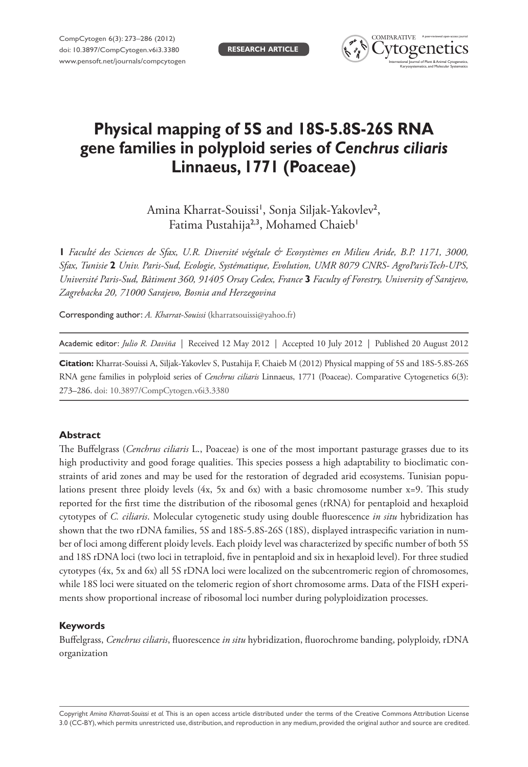

# **Physical mapping of 5S and 18S-5.8S-26S RNA gene families in polyploid series of** *Cenchrus ciliaris* **Linnaeus, 1771 (Poaceae)**

Amina Kharrat-Souissi', Sonja Siljak-Yakovlev<sup>2</sup>, Fatima Pustahija<sup>2,3</sup>, Mohamed Chaieb<sup>1</sup>

**1** *Faculté des Sciences de Sfax, U.R. Diversité végétale & Ecosystèmes en Milieu Aride, B.P. 1171, 3000, Sfax, Tunisie* **2** *Univ. Paris-Sud, Ecologie, Systématique, Evolution, UMR 8079 CNRS- AgroParisTech-UPS, Université Paris-Sud, Bâtiment 360, 91405 Orsay Cedex, France* **3** *Faculty of Forestry, University of Sarajevo, Zagrebacka 20, 71000 Sarajevo, Bosnia and Herzegovina*

Corresponding author: *A. Kharrat-Souissi* ([kharratsouissi@yahoo.fr\)](mailto:kharratsouissi@yahoo.fr)

Academic editor: *Julio R. Daviña* | Received 12 May 2012 | Accepted 10 July 2012 | Published 20 August 2012

**Citation:** Kharrat-Souissi A, Siljak-Yakovlev S, Pustahija F, Chaieb M (2012) Physical mapping of 5S and 18S-5.8S-26S RNA gene families in polyploid series of *Cenchrus ciliaris* Linnaeus, 1771 (Poaceae). Comparative Cytogenetics 6(3): 273–286. [doi: 10.3897/CompCytogen.v6i3.3380](http://dx.doi.org/10.3897/CompCytogen.v6i3.3380)

## **Abstract**

The Buffelgrass (*Cenchrus ciliaris* L., Poaceae) is one of the most important pasturage grasses due to its high productivity and good forage qualities. This species possess a high adaptability to bioclimatic constraints of arid zones and may be used for the restoration of degraded arid ecosystems. Tunisian populations present three ploidy levels (4x, 5x and 6x) with a basic chromosome number  $x=9$ . This study reported for the first time the distribution of the ribosomal genes (rRNA) for pentaploid and hexaploid cytotypes of *C. ciliaris*. Molecular cytogenetic study using double fluorescence *in situ* hybridization has shown that the two rDNA families, 5S and 18S-5.8S-26S (18S), displayed intraspecific variation in number of loci among different ploidy levels. Each ploidy level was characterized by specific number of both 5S and 18S rDNA loci (two loci in tetraploid, five in pentaploid and six in hexaploid level). For three studied cytotypes (4x, 5x and 6x) all 5S rDNA loci were localized on the subcentromeric region of chromosomes, while 18S loci were situated on the telomeric region of short chromosome arms. Data of the FISH experiments show proportional increase of ribosomal loci number during polyploidization processes.

## **Keywords**

Buffelgrass, *Cenchrus ciliaris*, fluorescence *in situ* hybridization, fluorochrome banding, polyploidy, rDNA organization

Copyright *Amina Kharrat-Souissi et al.* This is an open access article distributed under the terms of the [Creative Commons Attribution License](http://creativecommons.org/licenses/by/3.0/)  [3.0 \(CC-BY\),](http://creativecommons.org/licenses/by/3.0/) which permits unrestricted use, distribution, and reproduction in any medium, provided the original author and source are credited.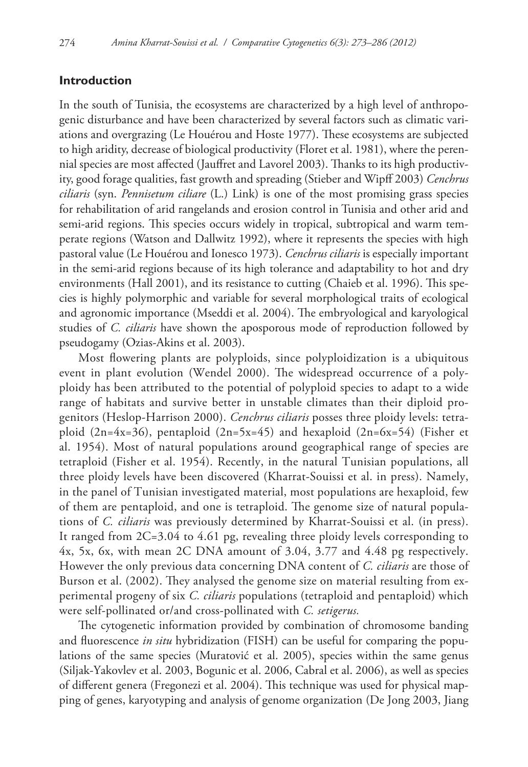## **Introduction**

In the south of Tunisia, the ecosystems are characterized by a high level of anthropogenic disturbance and have been characterized by several factors such as climatic variations and overgrazing (Le Houérou and Hoste 1977). These ecosystems are subjected to high aridity, decrease of biological productivity (Floret et al. 1981), where the perennial species are most affected (Jauffret and Lavorel 2003). Thanks to its high productivity, good forage qualities, fast growth and spreading (Stieber and Wipff 2003) *Cenchrus ciliaris* (syn. *Pennisetum ciliare* (L.) Link) is one of the most promising grass species for rehabilitation of arid rangelands and erosion control in Tunisia and other arid and semi-arid regions. This species occurs widely in tropical, subtropical and warm temperate regions (Watson and Dallwitz 1992), where it represents the species with high pastoral value (Le Houérou and Ionesco 1973). *Cenchrus ciliaris* is especially important in the semi-arid regions because of its high tolerance and adaptability to hot and dry environments (Hall 2001), and its resistance to cutting (Chaieb et al. 1996). This species is highly polymorphic and variable for several morphological traits of ecological and agronomic importance (Mseddi et al. 2004). The embryological and karyological studies of *C. ciliaris* have shown the aposporous mode of reproduction followed by pseudogamy (Ozias-Akins et al. 2003).

Most flowering plants are polyploids, since polyploidization is a ubiquitous event in plant evolution (Wendel 2000). The widespread occurrence of a polyploidy has been attributed to the potential of polyploid species to adapt to a wide range of habitats and survive better in unstable climates than their diploid progenitors (Heslop-Harrison 2000). *Cenchrus ciliaris* posses three ploidy levels: tetraploid (2n=4x=36), pentaploid (2n=5x=45) and hexaploid (2n=6x=54) (Fisher et al. 1954). Most of natural populations around geographical range of species are tetraploid (Fisher et al. 1954). Recently, in the natural Tunisian populations, all three ploidy levels have been discovered (Kharrat-Souissi et al. in press). Namely, in the panel of Tunisian investigated material, most populations are hexaploid, few of them are pentaploid, and one is tetraploid. The genome size of natural populations of *C. ciliaris* was previously determined by Kharrat-Souissi et al. (in press). It ranged from 2C=3.04 to 4.61 pg, revealing three ploidy levels corresponding to 4x, 5x, 6x, with mean 2C DNA amount of 3.04, 3.77 and 4.48 pg respectively. However the only previous data concerning DNA content of *C. ciliaris* are those of Burson et al. (2002). They analysed the genome size on material resulting from experimental progeny of six *C. ciliaris* populations (tetraploid and pentaploid) which were self-pollinated or/and cross-pollinated with *C. setigerus.*

The cytogenetic information provided by combination of chromosome banding and fluorescence *in situ* hybridization (FISH) can be useful for comparing the populations of the same species (Muratović et al. 2005), species within the same genus (Siljak-Yakovlev et al. 2003, Bogunic et al. 2006, Cabral et al. 2006), as well as species of different genera (Fregonezi et al. 2004). This technique was used for physical mapping of genes, karyotyping and analysis of genome organization (De Jong 2003, Jiang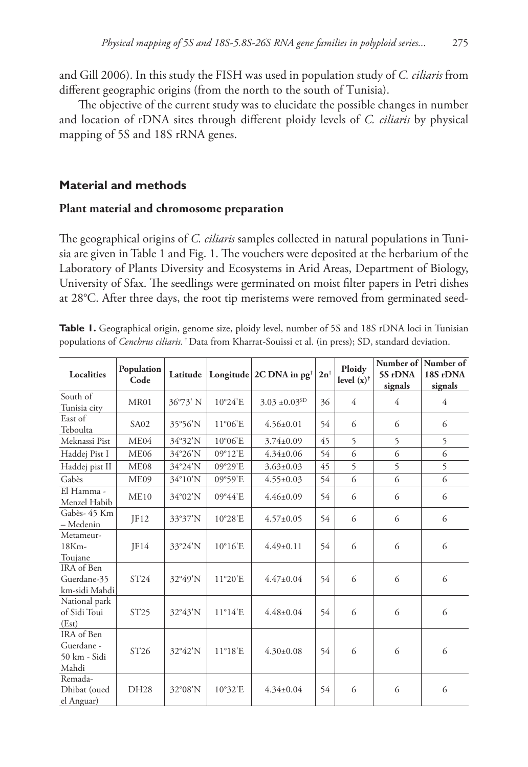and Gill 2006). In this study the FISH was used in population study of *C. ciliaris* from different geographic origins (from the north to the south of Tunisia).

The objective of the current study was to elucidate the possible changes in number and location of rDNA sites through different ploidy levels of *C. ciliaris* by physical mapping of 5S and 18S rRNA genes.

# **Material and methods**

## **Plant material and chromosome preparation**

The geographical origins of *C. ciliaris* samples collected in natural populations in Tunisia are given in Table 1 and Fig. 1. The vouchers were deposited at the herbarium of the Laboratory of Plants Diversity and Ecosystems in Arid Areas, Department of Biology, University of Sfax. The seedlings were germinated on moist filter papers in Petri dishes at 28°C. After three days, the root tip meristems were removed from germinated seed-

| Localities                                        | Population<br>Code | Latitude |                  | Longitude $2C$ DNA in pg <sup>†</sup> | $2n^{\dagger}$ | Ploidy<br>level $(x)$ <sup>†</sup> | Number of<br>5S rDNA<br>signals | Number of<br>18S rDNA<br>signals |
|---------------------------------------------------|--------------------|----------|------------------|---------------------------------------|----------------|------------------------------------|---------------------------------|----------------------------------|
| South of<br>Tunisia city                          | MR01               | 36°73' N | 10°24'E          | $3.03 \pm 0.03$ <sup>SD</sup>         | 36             | 4                                  | 4                               | 4                                |
| East of<br>Teboulta                               | SA <sub>02</sub>   | 35°56'N  | $11^{\circ}06'E$ | $4.56 \pm 0.01$                       | 54             | 6                                  | 6                               | 6                                |
| Meknassi Pist                                     | ME <sub>04</sub>   | 34°32'N  | 10°06'E          | $3.74 \pm 0.09$                       | 45             | 5                                  | 5                               | 5                                |
| Haddej Pist I                                     | ME <sub>06</sub>   | 34°26'N  | 09°12'E          | $4.34 \pm 0.06$                       | 54             | 6                                  | 6                               | 6                                |
| Haddej pist II                                    | ME08               | 34°24'N  | 09°29'E          | $3.63 \pm 0.03$                       | 45             | 5                                  | 5                               | 5                                |
| Gabès                                             | ME09               | 34°10'N  | 09°59'E          | $4.55 \pm 0.03$                       | 54             | 6                                  | 6                               | 6                                |
| El Hamma -<br>Menzel Habib                        | ME10               | 34°02'N  | 09°44'E          | $4.46 \pm 0.09$                       | 54             | 6                                  | 6                               | 6                                |
| Gabès- 45 Km<br>- Medenin                         | IF12               | 33°37'N  | 10°28'E          | $4.57 \pm 0.05$                       | 54             | 6                                  | 6                               | 6                                |
| Metameur-<br>$18Km -$<br>Toujane                  | IF14               | 33°24'N  | $10^{\circ}16'E$ | $4.49 \pm 0.11$                       | 54             | 6                                  | 6                               | 6                                |
| IRA of Ben<br>Guerdane-35<br>km-sidi Mahdi        | ST24               | 32°49'N  | 11°20'E          | $4.47 \pm 0.04$                       | 54             | 6                                  | 6                               | 6                                |
| National park<br>of Sidi Toui<br>(Est)            | ST <sub>25</sub>   | 32°43'N  | $11^{\circ}14'E$ | $4.48 \pm 0.04$                       | 54             | 6                                  | 6                               | 6                                |
| IRA of Ben<br>Guerdane -<br>50 km - Sidi<br>Mahdi | ST <sub>26</sub>   | 32°42'N  | $11^{\circ}18'E$ | $4.30 \pm 0.08$                       | 54             | 6                                  | 6                               | 6                                |
| Remada-<br>Dhibat (oued<br>el Anguar)             | DH28               | 32°08'N  | 10°32'E          | $4.34 \pm 0.04$                       | 54             | 6                                  | 6                               | 6                                |

**Table 1.** Geographical origin, genome size, ploidy level, number of 5S and 18S rDNA loci in Tunisian populations of *Cenchrus ciliaris.* † Data from Kharrat-Souissi et al. (in press); SD, standard deviation.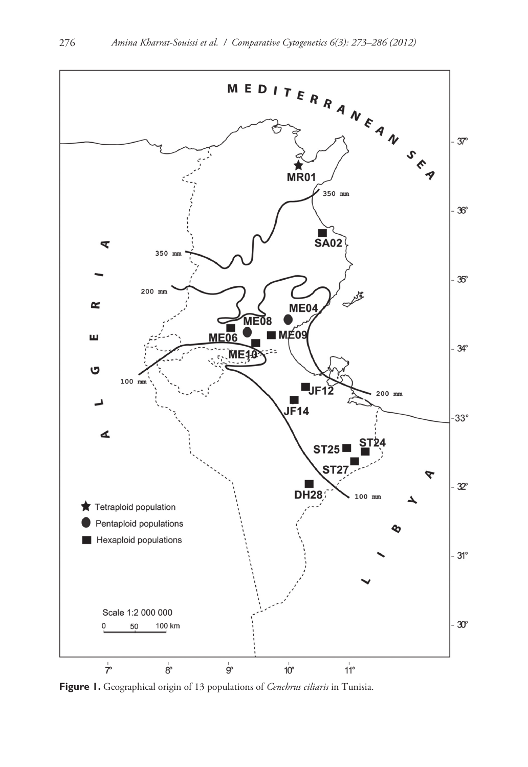

**Figure 1.** Geographical origin of 13 populations of *Cenchrus ciliaris* in Tunisia.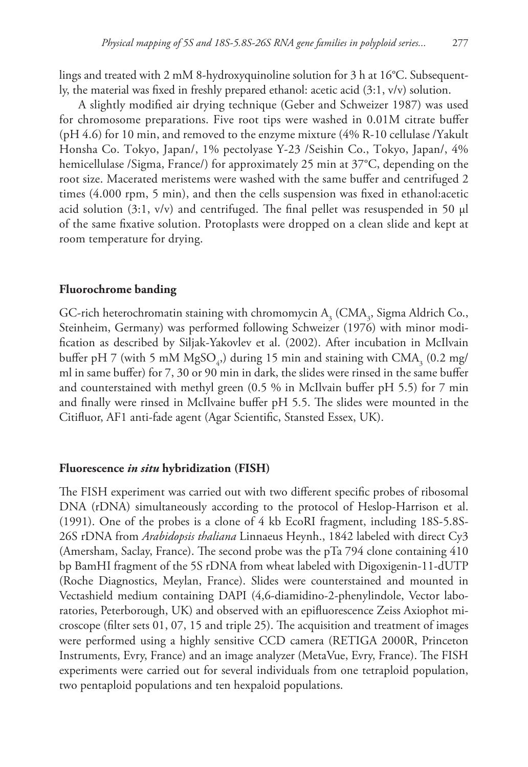lings and treated with 2 mM 8-hydroxyquinoline solution for 3 h at 16°C. Subsequently, the material was fixed in freshly prepared ethanol: acetic acid (3:1, v/v) solution.

A slightly modified air drying technique (Geber and Schweizer 1987) was used for chromosome preparations. Five root tips were washed in 0.01M citrate buffer (pH 4.6) for 10 min, and removed to the enzyme mixture (4% R-10 cellulase /Yakult Honsha Co. Tokyo, Japan/, 1% pectolyase Y-23 /Seishin Co., Tokyo, Japan/, 4% hemicellulase /Sigma, France/) for approximately 25 min at 37°C, depending on the root size. Macerated meristems were washed with the same buffer and centrifuged 2 times (4.000 rpm, 5 min), and then the cells suspension was fixed in ethanol:acetic acid solution (3:1, v/v) and centrifuged. The final pellet was resuspended in 50  $\mu$ l of the same fixative solution. Protoplasts were dropped on a clean slide and kept at room temperature for drying.

## **Fluorochrome banding**

GC-rich heterochromatin staining with chromomycin  $A_3^{\text{}}$  (CM $A_3^{\text{}}$ , Sigma Aldrich Co., Steinheim, Germany) was performed following Schweizer (1976) with minor modification as described by Siljak-Yakovlev et al. (2002). After incubation in McIlvain buffer pH 7 (with 5 mM  $MgSO_4$ ) during 15 min and staining with  $CMA_3$  (0.2 mg/ ml in same buffer) for 7, 30 or 90 min in dark, the slides were rinsed in the same buffer and counterstained with methyl green (0.5 % in McIlvain buffer pH 5.5) for 7 min and finally were rinsed in McIlvaine buffer pH 5.5. The slides were mounted in the Citifluor, AF1 anti-fade agent (Agar Scientific, Stansted Essex, UK).

## **Fluorescence** *in situ* **hybridization (FISH)**

The FISH experiment was carried out with two different specific probes of ribosomal DNA (rDNA) simultaneously according to the protocol of Heslop-Harrison et al. (1991). One of the probes is a clone of 4 kb EcoRI fragment, including 18S-5.8S-26S rDNA from *Arabidopsis thaliana* Linnaeus Heynh., 1842 labeled with direct Cy3 (Amersham, Saclay, France). The second probe was the pTa 794 clone containing 410 bp BamHI fragment of the 5S rDNA from wheat labeled with Digoxigenin-11-dUTP (Roche Diagnostics, Meylan, France). Slides were counterstained and mounted in Vectashield medium containing DAPI (4,6-diamidino-2-phenylindole, Vector laboratories, Peterborough, UK) and observed with an epifluorescence Zeiss Axiophot microscope (filter sets 01, 07, 15 and triple 25). The acquisition and treatment of images were performed using a highly sensitive CCD camera (RETIGA 2000R, Princeton Instruments, Evry, France) and an image analyzer (MetaVue, Evry, France). The FISH experiments were carried out for several individuals from one tetraploid population, two pentaploid populations and ten hexpaloid populations.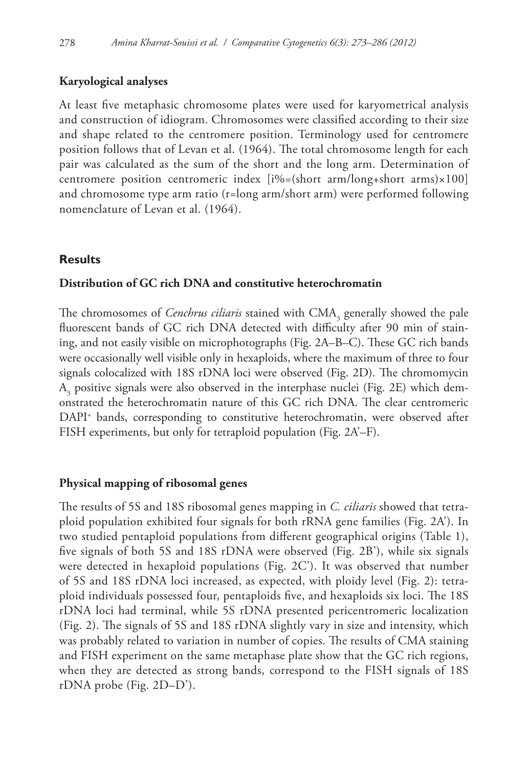# **Karyological analyses**

At least five metaphasic chromosome plates were used for karyometrical analysis and construction of idiogram. Chromosomes were classified according to their size and shape related to the centromere position. Terminology used for centromere position follows that of Levan et al. (1964). The total chromosome length for each pair was calculated as the sum of the short and the long arm. Determination of centromere position centromeric index [i%=(short arm/long+short arms)×100] and chromosome type arm ratio (r=long arm/short arm) were performed following nomenclature of Levan et al. (1964).

# **Results**

## **Distribution of GC rich DNA and constitutive heterochromatin**

The chromosomes of *Cenchrus ciliaris* stained with CMA<sub>3</sub> generally showed the pale fluorescent bands of GC rich DNA detected with difficulty after 90 min of staining, and not easily visible on microphotographs (Fig. 2A–B–C). These GC rich bands were occasionally well visible only in hexaploids, where the maximum of three to four signals colocalized with 18S rDNA loci were observed (Fig. 2D). The chromomycin  $A<sub>3</sub>$  positive signals were also observed in the interphase nuclei (Fig. 2E) which demonstrated the heterochromatin nature of this GC rich DNA. The clear centromeric DAPI+ bands, corresponding to constitutive heterochromatin, were observed after FISH experiments, but only for tetraploid population (Fig. 2A'–F).

## **Physical mapping of ribosomal genes**

The results of 5S and 18S ribosomal genes mapping in *C. ciliaris* showed that tetraploid population exhibited four signals for both rRNA gene families (Fig. 2A'). In two studied pentaploid populations from different geographical origins (Table 1), five signals of both 5S and 18S rDNA were observed (Fig. 2B'), while six signals were detected in hexaploid populations (Fig. 2C'). It was observed that number of 5S and 18S rDNA loci increased, as expected, with ploidy level (Fig. 2): tetraploid individuals possessed four, pentaploids five, and hexaploids six loci. The 18S rDNA loci had terminal, while 5S rDNA presented pericentromeric localization (Fig. 2). The signals of 5S and 18S rDNA slightly vary in size and intensity, which was probably related to variation in number of copies. The results of CMA staining and FISH experiment on the same metaphase plate show that the GC rich regions, when they are detected as strong bands, correspond to the FISH signals of 18S rDNA probe (Fig. 2D–D').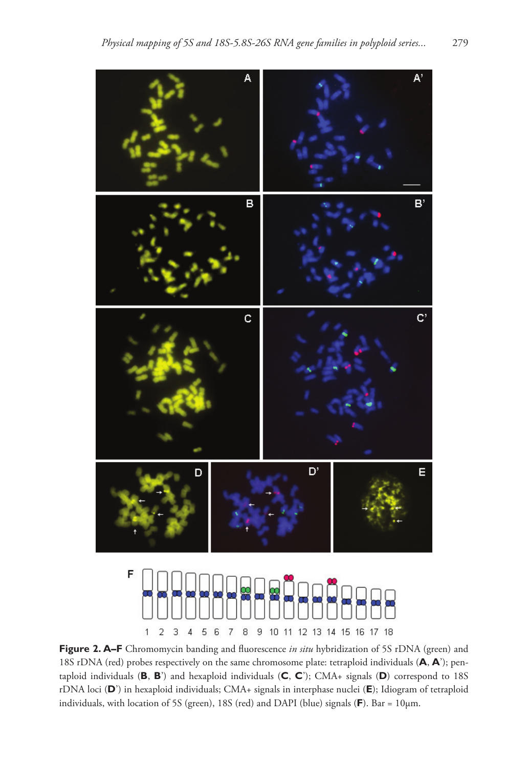



**Figure 2. A–F** Chromomycin banding and fluorescence *in situ* hybridization of 5S rDNA (green) and 18S rDNA (red) probes respectively on the same chromosome plate: tetraploid individuals (**A**, **A**'); pentaploid individuals (**B**, **B**') and hexaploid individuals (**C**, **C**'); CMA+ signals (**D**) correspond to 18S rDNA loci (**D**') in hexaploid individuals; CMA+ signals in interphase nuclei (**E**); Idiogram of tetraploid individuals, with location of 5S (green), 18S (red) and DAPI (blue) signals (**F**). Bar = 10µm.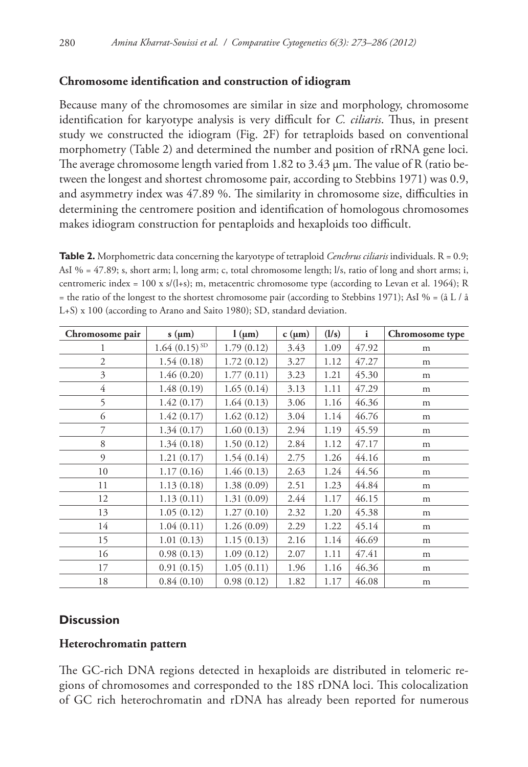# **Chromosome identification and construction of idiogram**

Because many of the chromosomes are similar in size and morphology, chromosome identification for karyotype analysis is very difficult for *C. ciliaris*. Thus, in present study we constructed the idiogram (Fig. 2F) for tetraploids based on conventional morphometry (Table 2) and determined the number and position of rRNA gene loci. The average chromosome length varied from 1.82 to 3.43 µm. The value of R (ratio between the longest and shortest chromosome pair, according to Stebbins 1971) was 0.9, and asymmetry index was 47.89 %. The similarity in chromosome size, difficulties in determining the centromere position and identification of homologous chromosomes makes idiogram construction for pentaploids and hexaploids too difficult.

**Table 2.** Morphometric data concerning the karyotype of tetraploid *Cenchrus ciliaris* individuals. R = 0.9; AsI % = 47.89; s, short arm; l, long arm; c, total chromosome length; l/s, ratio of long and short arms; i, centromeric index = 100 x s/(l+s); m, metacentric chromosome type (according to Levan et al. 1964); R = the ratio of the longest to the shortest chromosome pair (according to Stebbins 1971); AsI % = (å L / å L+S) x 100 (according to Arano and Saito 1980); SD, standard deviation.

| Chromosome pair | $s$ ( $\mu$ m)    | $1 \, (\mu m)$ | $c(\mu m)$ | (1/s) | $\mathbf{i}$ | Chromosome type |
|-----------------|-------------------|----------------|------------|-------|--------------|-----------------|
| 1               | $1.64(0.15)^{SD}$ | 1.79(0.12)     | 3.43       | 1.09  | 47.92        | m               |
| $\overline{2}$  | 1.54(0.18)        | 1.72(0.12)     | 3.27       | 1.12  | 47.27        | m               |
| 3               | 1.46(0.20)        | 1.77(0.11)     | 3.23       | 1.21  | 45.30        | m               |
| $\overline{4}$  | 1.48(0.19)        | 1.65(0.14)     | 3.13       | 1.11  | 47.29        | m               |
| 5               | 1.42(0.17)        | 1.64(0.13)     | 3.06       | 1.16  | 46.36        | m               |
| 6               | 1.42(0.17)        | 1.62(0.12)     | 3.04       | 1.14  | 46.76        | m               |
| 7               | 1.34(0.17)        | 1.60(0.13)     | 2.94       | 1.19  | 45.59        | m               |
| 8               | 1.34(0.18)        | 1.50(0.12)     | 2.84       | 1.12  | 47.17        | m               |
| 9               | 1.21(0.17)        | 1.54(0.14)     | 2.75       | 1.26  | 44.16        | m               |
| 10              | 1.17(0.16)        | 1.46(0.13)     | 2.63       | 1.24  | 44.56        | m               |
| 11              | 1.13(0.18)        | 1.38(0.09)     | 2.51       | 1.23  | 44.84        | m               |
| 12              | 1.13(0.11)        | 1.31(0.09)     | 2.44       | 1.17  | 46.15        | m               |
| 13              | 1.05(0.12)        | 1.27(0.10)     | 2.32       | 1.20  | 45.38        | m               |
| 14              | 1.04(0.11)        | 1.26(0.09)     | 2.29       | 1.22  | 45.14        | m               |
| 15              | 1.01(0.13)        | 1.15(0.13)     | 2.16       | 1.14  | 46.69        | m               |
| 16              | 0.98(0.13)        | 1.09(0.12)     | 2.07       | 1.11  | 47.41        | m               |
| 17              | 0.91(0.15)        | 1.05(0.11)     | 1.96       | 1.16  | 46.36        | m               |
| 18              | 0.84(0.10)        | 0.98(0.12)     | 1.82       | 1.17  | 46.08        | m               |

# **Discussion**

# **Heterochromatin pattern**

The GC-rich DNA regions detected in hexaploids are distributed in telomeric regions of chromosomes and corresponded to the 18S rDNA loci. This colocalization of GC rich heterochromatin and rDNA has already been reported for numerous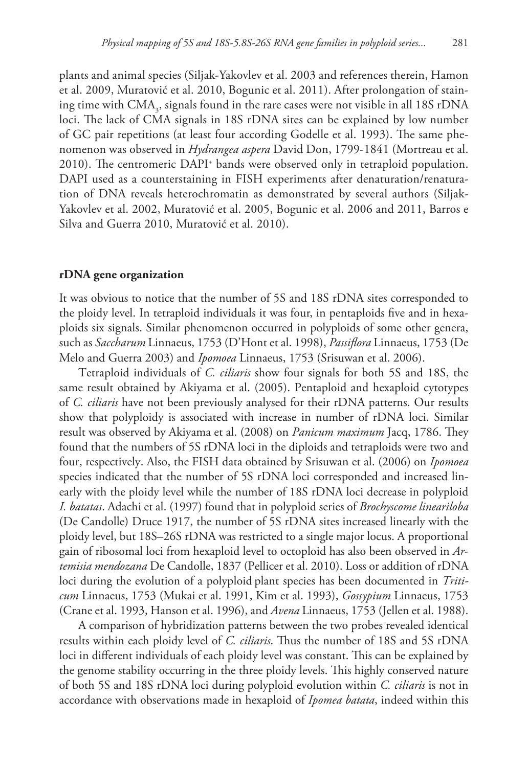plants and animal species (Siljak-Yakovlev et al. 2003 and references therein, Hamon et al. 2009, Muratović et al. 2010, Bogunic et al. 2011). After prolongation of staining time with  $\text{CMA}_3$ , signals found in the rare cases were not visible in all 18S rDNA loci. The lack of CMA signals in 18S rDNA sites can be explained by low number of GC pair repetitions (at least four according Godelle et al. 1993). The same phenomenon was observed in *Hydrangea aspera* David Don, 1799-1841 (Mortreau et al. 2010). The centromeric DAPI+ bands were observed only in tetraploid population. DAPI used as a counterstaining in FISH experiments after denaturation/renaturation of DNA reveals heterochromatin as demonstrated by several authors (Siljak-Yakovlev et al. 2002, Muratović et al. 2005, Bogunic et al. 2006 and 2011, Barros e Silva and Guerra 2010, Muratović et al. 2010).

#### **rDNA gene organization**

It was obvious to notice that the number of 5S and 18S rDNA sites corresponded to the ploidy level. In tetraploid individuals it was four, in pentaploids five and in hexaploids six signals. Similar phenomenon occurred in polyploids of some other genera, such as *Saccharum* Linnaeus, 1753 (D'Hont et al. 1998), *Passiflora* Linnaeus, 1753 (De Melo and Guerra 2003) and *Ipomoea* Linnaeus, 1753 (Srisuwan et al. 2006).

Tetraploid individuals of *C. ciliaris* show four signals for both 5S and 18S, the same result obtained by Akiyama et al. (2005). Pentaploid and hexaploid cytotypes of *C. ciliaris* have not been previously analysed for their rDNA patterns. Our results show that polyploidy is associated with increase in number of rDNA loci. Similar result was observed by Akiyama et al. (2008) on *Panicum maximum* Jacq, 1786. They found that the numbers of 5S rDNA loci in the diploids and tetraploids were two and four, respectively. Also, the FISH data obtained by Srisuwan et al. (2006) on *Ipomoea* species indicated that the number of 5S rDNA loci corresponded and increased linearly with the ploidy level while the number of 18S rDNA loci decrease in polyploid *I. batatas*. Adachi et al. (1997) found that in polyploid series of *Brochyscome lineariloba* (De Candolle) Druce 1917, the number of 5S rDNA sites increased linearly with the ploidy level, but 18S–26S rDNA was restricted to a single major locus. A proportional gain of ribosomal loci from hexaploid level to octoploid has also been observed in *Artemisia mendozana* De Candolle, 1837 (Pellicer et al. 2010). Loss or addition of rDNA loci during the evolution of a polyploid plant species has been documented in *Triticum* Linnaeus, 1753 (Mukai et al. 1991, Kim et al. 1993), *Gossypium* Linnaeus, 1753 (Crane et al. 1993, Hanson et al. 1996), and *Avena* Linnaeus, 1753 (Jellen et al. 1988).

A comparison of hybridization patterns between the two probes revealed identical results within each ploidy level of *C. ciliaris*. Thus the number of 18S and 5S rDNA loci in different individuals of each ploidy level was constant. This can be explained by the genome stability occurring in the three ploidy levels. This highly conserved nature of both 5S and 18S rDNA loci during polyploid evolution within *C. ciliaris* is not in accordance with observations made in hexaploid of *Ipomea batata*, indeed within this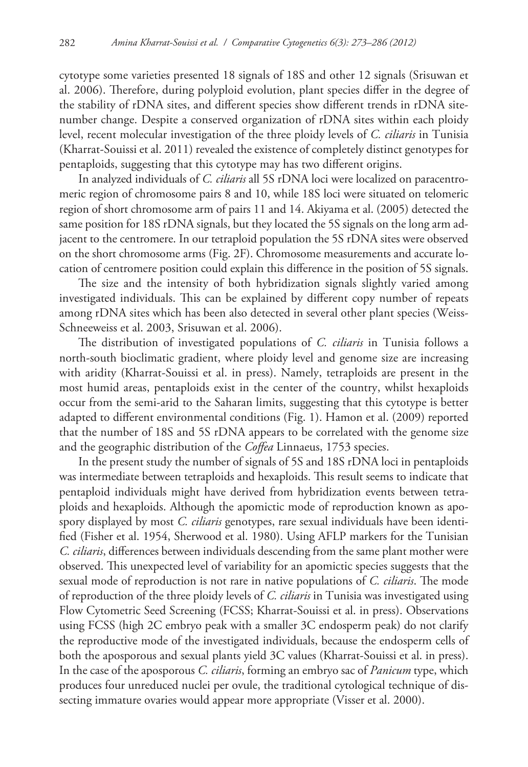cytotype some varieties presented 18 signals of 18S and other 12 signals (Srisuwan et al. 2006). Therefore, during polyploid evolution, plant species differ in the degree of the stability of rDNA sites, and different species show different trends in rDNA sitenumber change. Despite a conserved organization of rDNA sites within each ploidy level, recent molecular investigation of the three ploidy levels of *C. ciliaris* in Tunisia (Kharrat-Souissi et al. 2011) revealed the existence of completely distinct genotypes for pentaploids, suggesting that this cytotype may has two different origins.

In analyzed individuals of *C. ciliaris* all 5S rDNA loci were localized on paracentromeric region of chromosome pairs 8 and 10, while 18S loci were situated on telomeric region of short chromosome arm of pairs 11 and 14. Akiyama et al. (2005) detected the same position for 18S rDNA signals, but they located the 5S signals on the long arm adjacent to the centromere. In our tetraploid population the 5S rDNA sites were observed on the short chromosome arms (Fig. 2F). Chromosome measurements and accurate location of centromere position could explain this difference in the position of 5S signals.

The size and the intensity of both hybridization signals slightly varied among investigated individuals. This can be explained by different copy number of repeats among rDNA sites which has been also detected in several other plant species (Weiss-Schneeweiss et al. 2003, Srisuwan et al. 2006).

The distribution of investigated populations of *C. ciliaris* in Tunisia follows a north-south bioclimatic gradient, where ploidy level and genome size are increasing with aridity (Kharrat-Souissi et al. in press). Namely, tetraploids are present in the most humid areas, pentaploids exist in the center of the country, whilst hexaploids occur from the semi-arid to the Saharan limits, suggesting that this cytotype is better adapted to different environmental conditions (Fig. 1). Hamon et al. (2009) reported that the number of 18S and 5S rDNA appears to be correlated with the genome size and the geographic distribution of the *Coffea* Linnaeus, 1753 species.

In the present study the number of signals of 5S and 18S rDNA loci in pentaploids was intermediate between tetraploids and hexaploids. This result seems to indicate that pentaploid individuals might have derived from hybridization events between tetraploids and hexaploids. Although the apomictic mode of reproduction known as apospory displayed by most *C. ciliaris* genotypes, rare sexual individuals have been identified (Fisher et al. 1954, Sherwood et al. 1980). Using AFLP markers for the Tunisian *C. ciliaris*, differences between individuals descending from the same plant mother were observed. This unexpected level of variability for an apomictic species suggests that the sexual mode of reproduction is not rare in native populations of *C. ciliaris*. The mode of reproduction of the three ploidy levels of *C. ciliaris* in Tunisia was investigated using Flow Cytometric Seed Screening (FCSS; Kharrat-Souissi et al. in press). Observations using FCSS (high 2C embryo peak with a smaller 3C endosperm peak) do not clarify the reproductive mode of the investigated individuals, because the endosperm cells of both the aposporous and sexual plants yield 3C values (Kharrat-Souissi et al. in press). In the case of the aposporous *C. ciliaris*, forming an embryo sac of *Panicum* type, which produces four unreduced nuclei per ovule, the traditional cytological technique of dissecting immature ovaries would appear more appropriate (Visser et al. 2000).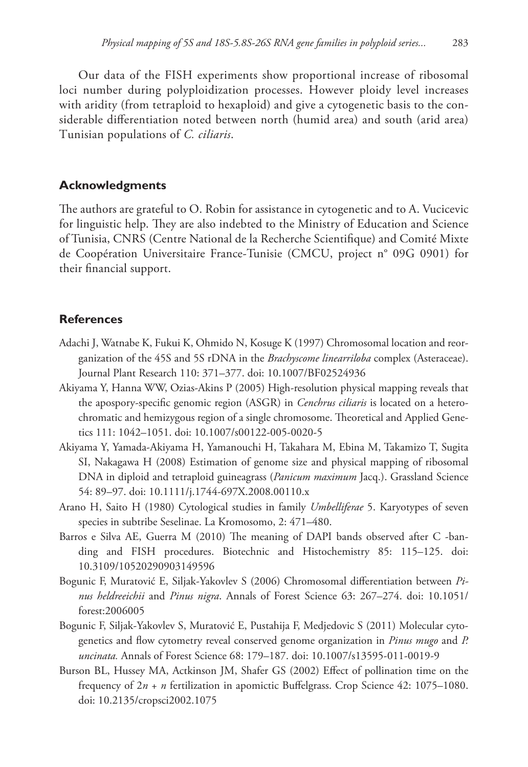Our data of the FISH experiments show proportional increase of ribosomal loci number during polyploidization processes. However ploidy level increases with aridity (from tetraploid to hexaploid) and give a cytogenetic basis to the considerable differentiation noted between north (humid area) and south (arid area) Tunisian populations of *C. ciliaris*.

# **Acknowledgments**

The authors are grateful to O. Robin for assistance in cytogenetic and to A. Vucicevic for linguistic help. They are also indebted to the Ministry of Education and Science of Tunisia, CNRS (Centre National de la Recherche Scientifique) and Comité Mixte de Coopération Universitaire France-Tunisie (CMCU, project n° 09G 0901) for their financial support.

# **References**

- Adachi J, Watnabe K, Fukui K, Ohmido N, Kosuge K (1997) Chromosomal location and reorganization of the 45S and 5S rDNA in the *Brachyscome linearriloba* complex (Asteraceae). Journal Plant Research 110: 371–377. [doi: 10.1007/BF02524936](http://dx.doi.org/10.1007/BF02524936)
- Akiyama Y, Hanna WW, Ozias-Akins P (2005) High-resolution physical mapping reveals that the apospory-specific genomic region (ASGR) in *Cenchrus ciliaris* is located on a heterochromatic and hemizygous region of a single chromosome. Theoretical and Applied Genetics 111: 1042–1051. [doi: 10.1007/s00122-005-0020-5](http://dx.doi.org/10.1007/s00122-005-0020-5)
- Akiyama Y, Yamada-Akiyama H, Yamanouchi H, Takahara M, Ebina M, Takamizo T, Sugita SI, Nakagawa H (2008) Estimation of genome size and physical mapping of ribosomal DNA in diploid and tetraploid guineagrass (*Panicum maximum* Jacq.). Grassland Science 54: 89–97. [doi: 10.1111/j.1744-697X.2008.00110.x](http://dx.doi.org/10.1111/j.1744-697X.2008.00110.x)
- Arano H, Saito H (1980) Cytological studies in family *Umbelliferae* 5. Karyotypes of seven species in subtribe Seselinae. La Kromosomo, 2: 471–480.
- Barros e Silva AE, Guerra M (2010) The meaning of DAPI bands observed after C -banding and FISH procedures. Biotechnic and Histochemistry 85: 115–125. [doi:](http://dx.doi.org/10.3109/10520290903149596) [10.3109/10520290903149596](http://dx.doi.org/10.3109/10520290903149596)
- Bogunic F, Muratović E, Siljak-Yakovlev S (2006) Chromosomal differentiation between *Pinus heldreeichii* and *Pinus nigra*. Annals of Forest Science 63: 267–274. [doi: 10.1051/](http://dx.doi.org/10.1051/forest:2006005) [forest:2006005](http://dx.doi.org/10.1051/forest:2006005)
- Bogunic F, Siljak-Yakovlev S, Muratović E, Pustahija F, Medjedovic S (2011) Molecular cytogenetics and flow cytometry reveal conserved genome organization in *Pinus mugo* and *P. uncinata.* Annals of Forest Science 68: 179–187. [doi: 10.1007/s13595-011-0019-9](http://dx.doi.org/10.1007/s13595-011-0019-9)
- Burson BL, Hussey MA, Actkinson JM, Shafer GS (2002) Effect of pollination time on the frequency of 2*n* + *n* fertilization in apomictic Buffelgrass. Crop Science 42: 1075–1080. [doi: 10.2135/cropsci2002.1075](http://dx.doi.org/10.2135/cropsci2002.1075)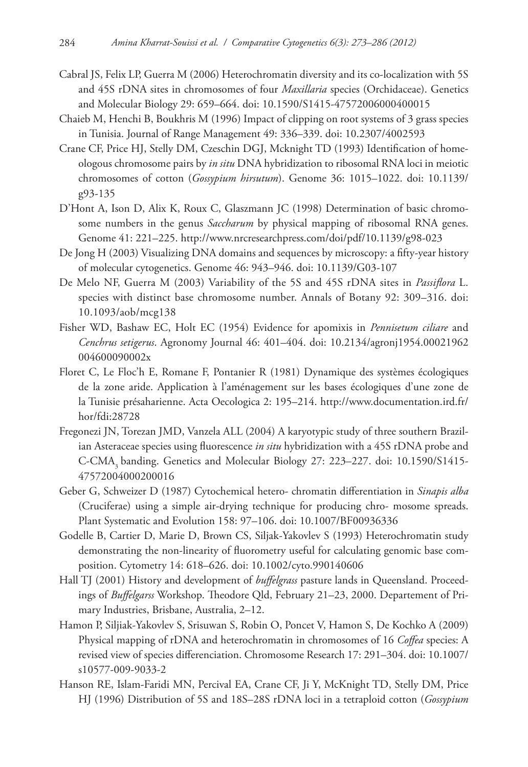- Cabral JS, Felix LP, Guerra M (2006) Heterochromatin diversity and its co-localization with 5S and 45S rDNA sites in chromosomes of four *Maxillaria* species (Orchidaceae). Genetics and Molecular Biology 29: 659–664. [doi: 10.1590/S1415-47572006000400015](http://dx.doi.org/10.1590/S1415-47572006000400015)
- Chaieb M, Henchi B, Boukhris M (1996) Impact of clipping on root systems of 3 grass species in Tunisia. Journal of Range Management 49: 336–339. [doi: 10.2307/4002593](http://dx.doi.org/10.2307/4002593)
- Crane CF, Price HJ, Stelly DM, Czeschin DGJ, Mcknight TD (1993) Identification of homeologous chromosome pairs by *in situ* DNA hybridization to ribosomal RNA loci in meiotic chromosomes of cotton (*Gossypium hirsutum*). Genome 36: 1015–1022. [doi: 10.1139/](http://dx.doi.org/10.1139/g93-135) [g93-135](http://dx.doi.org/10.1139/g93-135)
- D'Hont A, Ison D, Alix K, Roux C, Glaszmann JC (1998) Determination of basic chromosome numbers in the genus *Saccharum* by physical mapping of ribosomal RNA genes. Genome 41: 221–225.<http://www.nrcresearchpress.com/doi/pdf/10.1139/g98-023>
- De Jong H (2003) Visualizing DNA domains and sequences by microscopy: a fifty-year history of molecular cytogenetics. Genome 46: 943–946. [doi: 10.1139/G03-107](http://dx.doi.org/10.1139/G03-107)
- De Melo NF, Guerra M (2003) Variability of the 5S and 45S rDNA sites in *Passiflora* L. species with distinct base chromosome number. Annals of Botany 92: 309–316. [doi:](http://dx.doi.org/10.1093/aob/mcg138) [10.1093/aob/mcg138](http://dx.doi.org/10.1093/aob/mcg138)
- Fisher WD, Bashaw EC, Holt EC (1954) Evidence for apomixis in *Pennisetum ciliare* and *Cenchrus setigerus*. Agronomy Journal 46: 401–404. [doi: 10.2134/agronj1954.00021962](http://dx.doi.org/10.2134/agronj1954.00021962004600090002x) [004600090002x](http://dx.doi.org/10.2134/agronj1954.00021962004600090002x)
- Floret C, Le Floc'h E, Romane F, Pontanier R (1981) Dynamique des systèmes écologiques de la zone aride. Application à l'aménagement sur les bases écologiques d'une zone de la Tunisie présaharienne. Acta Oecologica 2: 195–214. [http://www.documentation.ird.fr/](http://www.documentation.ird.fr/hor/fdi:28728) [hor/fdi:28728](http://www.documentation.ird.fr/hor/fdi:28728)
- Fregonezi JN, Torezan JMD, Vanzela ALL (2004) A karyotypic study of three southern Brazilian Asteraceae species using fluorescence *in situ* hybridization with a 45S rDNA probe and C-CMA<sub>3</sub> banding. Genetics and Molecular Biology 27: 223-227. [doi: 10.1590/S1415-](http://dx.doi.org/10.1590/S1415-47572004000200016) [47572004000200016](http://dx.doi.org/10.1590/S1415-47572004000200016)
- Geber G, Schweizer D (1987) Cytochemical hetero- chromatin differentiation in *Sinapis alba* (Cruciferae) using a simple air-drying technique for producing chro- mosome spreads. Plant Systematic and Evolution 158: 97–106. [doi: 10.1007/BF00936336](http://dx.doi.org/10.1007/BF00936336)
- Godelle B, Cartier D, Marie D, Brown CS, Siljak-Yakovlev S (1993) Heterochromatin study demonstrating the non-linearity of fluorometry useful for calculating genomic base composition. Cytometry 14: 618–626. [doi: 10.1002/cyto.990140606](http://dx.doi.org/10.1002/cyto.990140606)
- Hall TJ (2001) History and development of *buffelgrass* pasture lands in Queensland. Proceedings of *Buffelgarss* Workshop. Theodore Qld, February 21–23, 2000. Departement of Primary Industries, Brisbane, Australia, 2–12.
- Hamon P, Siljiak-Yakovlev S, Srisuwan S, Robin O, Poncet V, Hamon S, De Kochko A (2009) Physical mapping of rDNA and heterochromatin in chromosomes of 16 *Coffea* species: A revised view of species differenciation. Chromosome Research 17: 291–304. [doi: 10.1007/](http://dx.doi.org/10.1007/s10577-099-9033-2) [s10577-009-9033-2](http://dx.doi.org/10.1007/s10577-099-9033-2)
- Hanson RE, Islam-Faridi MN, Percival EA, Crane CF, Ji Y, McKnight TD, Stelly DM, Price HJ (1996) Distribution of 5S and 18S–28S rDNA loci in a tetraploid cotton (*Gossypium*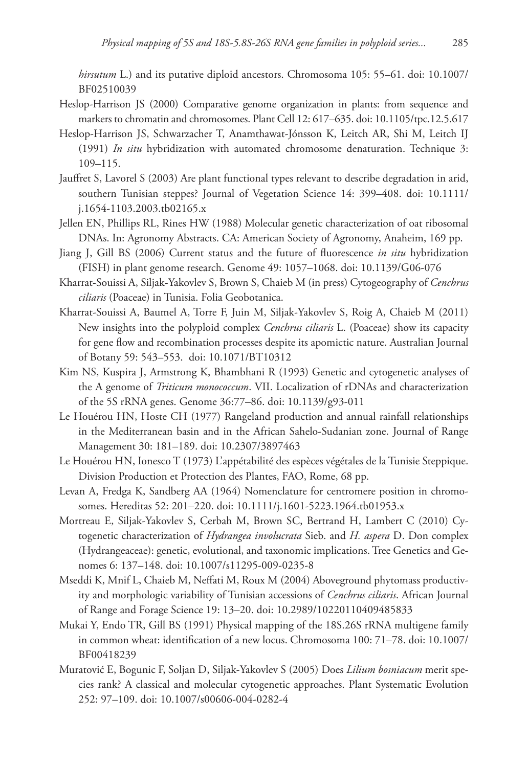*hirsutum* L.) and its putative diploid ancestors. Chromosoma 105: 55–61. [doi: 10.1007/](http://dx.doi.org/10.1007/BF02510039) [BF02510039](http://dx.doi.org/10.1007/BF02510039)

- Heslop-Harrison JS (2000) Comparative genome organization in plants: from sequence and markers to chromatin and chromosomes. Plant Cell 12: 617–635. [doi: 10.1105/tpc.12.5.617](http://dx.doi.org/10.1105/tpc.12.5.617)
- Heslop-Harrison JS, Schwarzacher T, Anamthawat-Jónsson K, Leitch AR, Shi M, Leitch IJ (1991) *In situ* hybridization with automated chromosome denaturation. Technique 3: 109–115.
- Jauffret S, Lavorel S (2003) Are plant functional types relevant to describe degradation in arid, southern Tunisian steppes? Journal of Vegetation Science 14: 399–408. [doi: 10.1111/](http://dx.doi.org/10.1111/j.1654-1103.2003.tb02165.x) [j.1654-1103.2003.tb02165.x](http://dx.doi.org/10.1111/j.1654-1103.2003.tb02165.x)
- Jellen EN, Phillips RL, Rines HW (1988) Molecular genetic characterization of oat ribosomal DNAs. In: Agronomy Abstracts. CA: American Society of Agronomy, Anaheim, 169 pp.
- Jiang J, Gill BS (2006) Current status and the future of fluorescence *in situ* hybridization (FISH) in plant genome research. Genome 49: 1057–1068. [doi: 10.1139/G06-076](http://dx.doi.org/10.1139/G06-076)
- Kharrat-Souissi A, Siljak-Yakovlev S, Brown S, Chaieb M (in press) Cytogeography of *Cenchrus ciliaris* (Poaceae) in Tunisia. Folia Geobotanica.
- Kharrat-Souissi A, Baumel A, Torre F, Juin M, Siljak-Yakovlev S, Roig A, Chaieb M (2011) New insights into the polyploid complex *Cenchrus ciliaris* L. (Poaceae) show its capacity for gene flow and recombination processes despite its apomictic nature. Australian Journal of Botany 59: 543–553.  [doi: 10.1071/BT10312](http://dx.doi.org/10.1071/BT10312)
- Kim NS, Kuspira J, Armstrong K, Bhambhani R (1993) Genetic and cytogenetic analyses of the A genome of *Triticum monococcum*. VII. Localization of rDNAs and characterization of the 5S rRNA genes. Genome 36:77–86. [doi: 10.1139/g93-011](http://dx.doi.org/10.1139/g93-011)
- Le Houérou HN, Hoste CH (1977) Rangeland production and annual rainfall relationships in the Mediterranean basin and in the African Sahelo-Sudanian zone. Journal of Range Management 30: 181–189. [doi: 10.2307/3897463](http://dx.doi.org/10.2307/3897463)
- Le Houérou HN, Ionesco T (1973) L'appétabilité des espèces végétales de la Tunisie Steppique. Division Production et Protection des Plantes, FAO, Rome, 68 pp.
- Levan A, Fredga K, Sandberg AA (1964) Nomenclature for centromere position in chromosomes. Hereditas 52: 201–220. [doi: 10.1111/j.1601-5223.1964.tb01953.x](http://dx.doi.org/10.1111/j.1601-5223.1964.tb01953.x)
- Mortreau E, Siljak-Yakovlev S, Cerbah M, Brown SC, Bertrand H, Lambert C (2010) Cytogenetic characterization of *Hydrangea involucrata* Sieb. and *H. aspera* D. Don complex (Hydrangeaceae): genetic, evolutional, and taxonomic implications. Tree Genetics and Genomes 6: 137–148. [doi: 10.1007/s11295-009-0235-8](http://dx.doi.org/10.1007/s11295-009-0235-8)
- Mseddi K, Mnif L, Chaieb M, Neffati M, Roux M (2004) Aboveground phytomass productivity and morphologic variability of Tunisian accessions of *Cenchrus ciliaris*. African Journal of Range and Forage Science 19: 13–20. [doi: 10.2989/10220110409485833](http://dx.doi.org/10.2989/10220110409485833)
- Mukai Y, Endo TR, Gill BS (1991) Physical mapping of the 18S.26S rRNA multigene family in common wheat: identification of a new locus. Chromosoma 100: 71–78. [doi: 10.1007/](http://dx.doi.org/10.1007/BF00418239) [BF00418239](http://dx.doi.org/10.1007/BF00418239)
- Muratović E, Bogunic F, Soljan D, Siljak-Yakovlev S (2005) Does *Lilium bosniacum* merit species rank? A classical and molecular cytogenetic approaches. Plant Systematic Evolution 252: 97–109. [doi: 10.1007/s00606-004-0282-4](http://dx.doi.org/10.1007/s00606-004-02852-4)